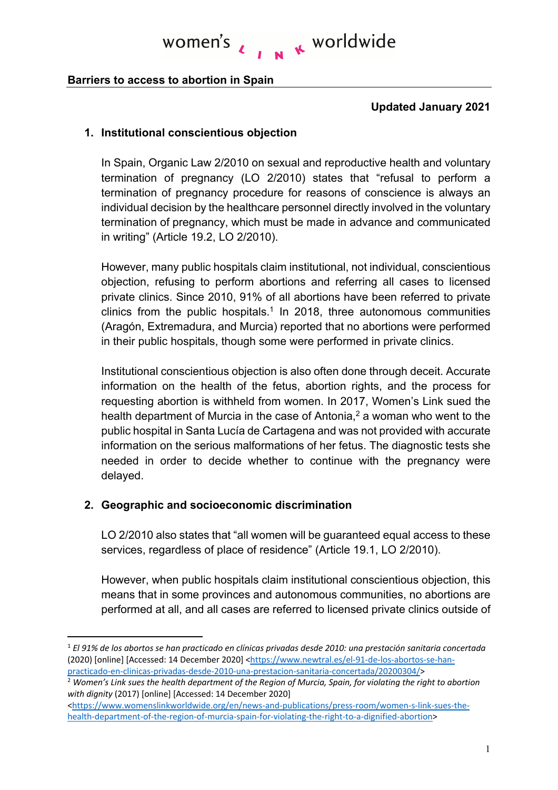# **N** K worldwide women's

#### **Barriers to access to abortion in Spain**

#### **Updated January 2021**

#### **1. Institutional conscientious objection**

In Spain, Organic Law 2/2010 on sexual and reproductive health and voluntary termination of pregnancy (LO 2/2010) states that "refusal to perform a termination of pregnancy procedure for reasons of conscience is always an individual decision by the healthcare personnel directly involved in the voluntary termination of pregnancy, which must be made in advance and communicated in writing" (Article 19.2, LO 2/2010).

However, many public hospitals claim institutional, not individual, conscientious objection, refusing to perform abortions and referring all cases to licensed private clinics. Since 2010, 91% of all abortions have been referred to private clinics from the public hospitals.<sup>1</sup> In 2018, three autonomous communities (Aragón, Extremadura, and Murcia) reported that no abortions were performed in their public hospitals, though some were performed in private clinics.

Institutional conscientious objection is also often done through deceit. Accurate information on the health of the fetus, abortion rights, and the process for requesting abortion is withheld from women. In 2017, Women's Link sued the health department of Murcia in the case of Antonia,<sup>2</sup> a woman who went to the public hospital in Santa Lucía de Cartagena and was not provided with accurate information on the serious malformations of her fetus. The diagnostic tests she needed in order to decide whether to continue with the pregnancy were delayed.

#### **2. Geographic and socioeconomic discrimination**

LO 2/2010 also states that "all women will be guaranteed equal access to these services, regardless of place of residence" (Article 19.1, LO 2/2010).

However, when public hospitals claim institutional conscientious objection, this means that in some provinces and autonomous communities, no abortions are performed at all, and all cases are referred to licensed private clinics outside of

<sup>1</sup> *El 91% de los abortos se han practicado en clínicas privadas desde 2010: una prestación sanitaria concertada*  (2020) [online] [Accessed: 14 December 2020] <https://www.newtral.es/el-91-de-los-abortos-se-han-

practicado-en-clinicas-privadas-desde-2010-una-prestacion-sanitaria-concertada/20200304/> 2 *Women's Link sues the health department of the Region of Murcia, Spain, for violating the right to abortion with dignity* (2017) [online] [Accessed: 14 December 2020]

<sup>&</sup>lt;https://www.womenslinkworldwide.org/en/news-and-publications/press-room/women-s-link-sues-thehealth-department-of-the-region-of-murcia-spain-for-violating-the-right-to-a-dignified-abortion>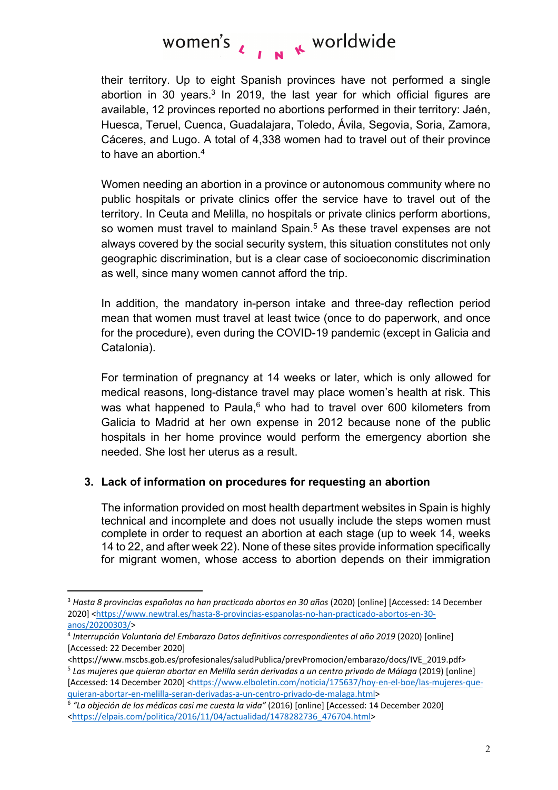# women's  $\lambda$ ,  $\mu$   $\kappa$  worldwide

their territory. Up to eight Spanish provinces have not performed a single abortion in 30 years.<sup>3</sup> In 2019, the last year for which official figures are available, 12 provinces reported no abortions performed in their territory: Jaén, Huesca, Teruel, Cuenca, Guadalajara, Toledo, Ávila, Segovia, Soria, Zamora, Cáceres, and Lugo. A total of 4,338 women had to travel out of their province to have an abortion.4

Women needing an abortion in a province or autonomous community where no public hospitals or private clinics offer the service have to travel out of the territory. In Ceuta and Melilla, no hospitals or private clinics perform abortions, so women must travel to mainland Spain.<sup>5</sup> As these travel expenses are not always covered by the social security system, this situation constitutes not only geographic discrimination, but is a clear case of socioeconomic discrimination as well, since many women cannot afford the trip.

In addition, the mandatory in-person intake and three-day reflection period mean that women must travel at least twice (once to do paperwork, and once for the procedure), even during the COVID-19 pandemic (except in Galicia and Catalonia).

For termination of pregnancy at 14 weeks or later, which is only allowed for medical reasons, long-distance travel may place women's health at risk. This was what happened to Paula, $6$  who had to travel over 600 kilometers from Galicia to Madrid at her own expense in 2012 because none of the public hospitals in her home province would perform the emergency abortion she needed. She lost her uterus as a result.

### **3. Lack of information on procedures for requesting an abortion**

The information provided on most health department websites in Spain is highly technical and incomplete and does not usually include the steps women must complete in order to request an abortion at each stage (up to week 14, weeks 14 to 22, and after week 22). None of these sites provide information specifically for migrant women, whose access to abortion depends on their immigration

<sup>&</sup>lt;sup>3</sup> Hasta 8 provincias españolas no han practicado abortos en 30 años (2020) [online] [Accessed: 14 December 2020] <https://www.newtral.es/hasta-8-provincias-espanolas-no-han-practicado-abortos-en-30 anos/20200303/> 4 *Interrupción Voluntaria del Embarazo Datos definitivos correspondientes al año 2019* (2020) [online]

<sup>[</sup>Accessed: 22 December 2020]

<sup>&</sup>lt;https://www.mscbs.gob.es/profesionales/saludPublica/prevPromocion/embarazo/docs/IVE\_2019.pdf> <sup>5</sup> *Las mujeres que quieran abortar en Melilla serán derivadas a un centro privado de Málaga* (2019) [online] [Accessed: 14 December 2020] <https://www.elboletin.com/noticia/175637/hoy-en-el-boe/las-mujeres-quequieran-abortar-en-melilla-seran-derivadas-a-un-centro-privado-de-malaga.html>

<sup>6</sup> *"La objeción de los médicos casi me cuesta la vida"* (2016) [online] [Accessed: 14 December 2020] <https://elpais.com/politica/2016/11/04/actualidad/1478282736\_476704.html>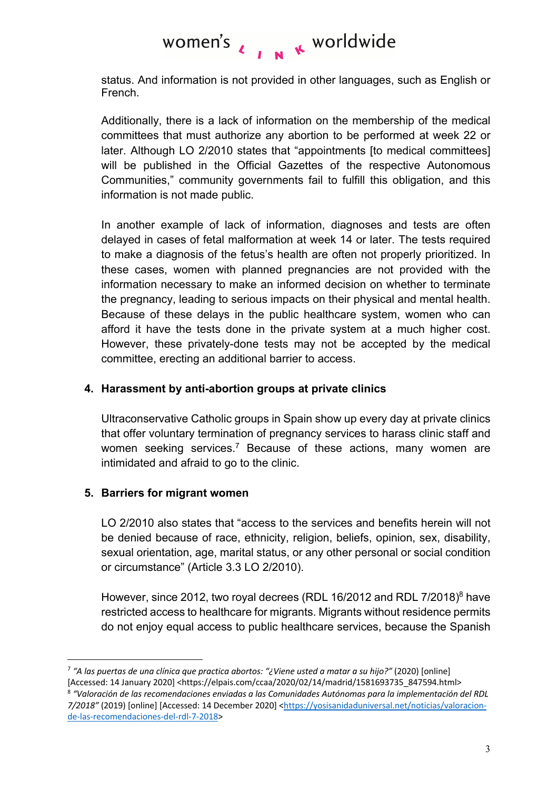#### women's I N K worldwide

status. And information is not provided in other languages, such as English or French.

Additionally, there is a lack of information on the membership of the medical committees that must authorize any abortion to be performed at week 22 or later. Although LO 2/2010 states that "appointments [to medical committees] will be published in the Official Gazettes of the respective Autonomous Communities," community governments fail to fulfill this obligation, and this information is not made public.

In another example of lack of information, diagnoses and tests are often delayed in cases of fetal malformation at week 14 or later. The tests required to make a diagnosis of the fetus's health are often not properly prioritized. In these cases, women with planned pregnancies are not provided with the information necessary to make an informed decision on whether to terminate the pregnancy, leading to serious impacts on their physical and mental health. Because of these delays in the public healthcare system, women who can afford it have the tests done in the private system at a much higher cost. However, these privately-done tests may not be accepted by the medical committee, erecting an additional barrier to access.

#### **4. Harassment by anti-abortion groups at private clinics**

Ultraconservative Catholic groups in Spain show up every day at private clinics that offer voluntary termination of pregnancy services to harass clinic staff and women seeking services.<sup>7</sup> Because of these actions, many women are intimidated and afraid to go to the clinic.

### **5. Barriers for migrant women**

LO 2/2010 also states that "access to the services and benefits herein will not be denied because of race, ethnicity, religion, beliefs, opinion, sex, disability, sexual orientation, age, marital status, or any other personal or social condition or circumstance" (Article 3.3 LO 2/2010).

However, since 2012, two royal decrees (RDL 16/2012 and RDL 7/2018)<sup>8</sup> have restricted access to healthcare for migrants. Migrants without residence permits do not enjoy equal access to public healthcare services, because the Spanish

<sup>7</sup> *"A las puertas de una clínica que practica abortos: "¿Viene usted a matar a su hijo?"* (2020) [online] [Accessed: 14 January 2020] <https://elpais.com/ccaa/2020/02/14/madrid/1581693735\_847594.html> <sup>8</sup> *"Valoración de las recomendaciones enviadas a las Comunidades Autónomas para la implementación del RDL 7/2018"* (2019) [online] [Accessed: 14 December 2020] <https://yosisanidaduniversal.net/noticias/valoracionde-las-recomendaciones-del-rdl-7-2018>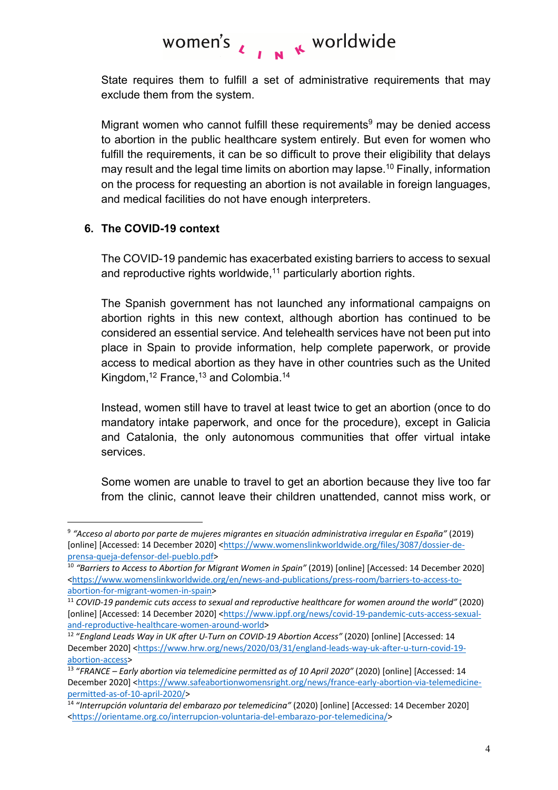# women's  $\lambda$ ,  $\mu$   $\kappa$  worldwide

State requires them to fulfill a set of administrative requirements that may exclude them from the system.

Migrant women who cannot fulfill these requirements $9$  may be denied access to abortion in the public healthcare system entirely. But even for women who fulfill the requirements, it can be so difficult to prove their eligibility that delays may result and the legal time limits on abortion may lapse.<sup>10</sup> Finally, information on the process for requesting an abortion is not available in foreign languages, and medical facilities do not have enough interpreters.

## **6. The COVID-19 context**

The COVID-19 pandemic has exacerbated existing barriers to access to sexual and reproductive rights worldwide, $11$  particularly abortion rights.

The Spanish government has not launched any informational campaigns on abortion rights in this new context, although abortion has continued to be considered an essential service. And telehealth services have not been put into place in Spain to provide information, help complete paperwork, or provide access to medical abortion as they have in other countries such as the United Kingdom, $12$  France, $13$  and Colombia.<sup>14</sup>

Instead, women still have to travel at least twice to get an abortion (once to do mandatory intake paperwork, and once for the procedure), except in Galicia and Catalonia, the only autonomous communities that offer virtual intake services.

Some women are unable to travel to get an abortion because they live too far from the clinic, cannot leave their children unattended, cannot miss work, or

<sup>9</sup> *"Acceso al aborto por parte de mujeres migrantes en situación administrativa irregular en España"* (2019) [online] [Accessed: 14 December 2020] <https://www.womenslinkworldwide.org/files/3087/dossier-deprensa-queja-defensor-del-pueblo.pdf>

<sup>&</sup>lt;sup>10</sup> "Barriers to Access to Abortion for Migrant Women in Spain" (2019) [online] [Accessed: 14 December 2020] <https://www.womenslinkworldwide.org/en/news-and-publications/press-room/barriers-to-access-toabortion-for-migrant-women-in-spain>

<sup>11</sup> *COVID-19 pandemic cuts access to sexual and reproductive healthcare for women around the world"* (2020) [online] [Accessed: 14 December 2020] <https://www.ippf.org/news/covid-19-pandemic-cuts-access-sexualand-reproductive-healthcare-women-around-world>

<sup>&</sup>lt;sup>12</sup> "England Leads Way in UK after U-Turn on COVID-19 Abortion Access" (2020) [online] [Accessed: 14 December 2020] <https://www.hrw.org/news/2020/03/31/england-leads-way-uk-after-u-turn-covid-19 abortion-access>

<sup>&</sup>lt;sup>13</sup> "FRANCE – Early abortion via telemedicine permitted as of 10 April 2020" (2020) [online] [Accessed: 14 December 2020] <https://www.safeabortionwomensright.org/news/france-early-abortion-via-telemedicinepermitted-as-of-10-april-2020/>

<sup>14</sup> "*Interrupción voluntaria del embarazo por telemedicina"* (2020) [online] [Accessed: 14 December 2020] <https://orientame.org.co/interrupcion-voluntaria-del-embarazo-por-telemedicina/>